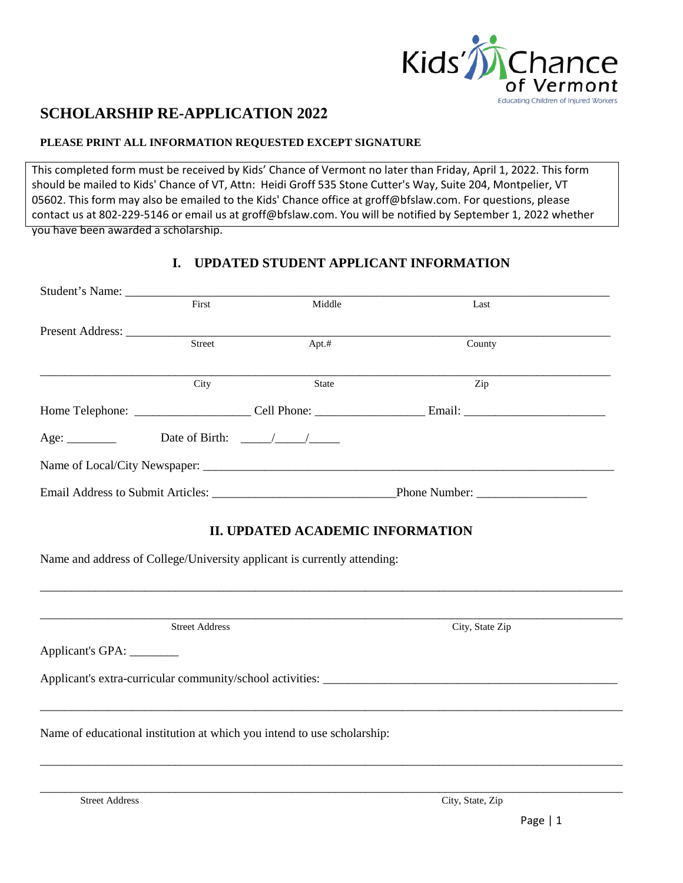

# **SCHOLARSHIP RE-APPLICATION 2022**

#### **PLEASE PRINT ALL INFORMATION REQUESTED EXCEPT SIGNATURE**

This completed form must be received by Kids' Chance of Vermont no later than Friday, April 1, 2022. This form should be mailed to Kids' Chance of VT, Attn: Heidi Groff 535 Stone Cutter's Way, Suite 204, Montpelier, VT 05602. This form may also be [emailed t](mailto:kjk@mc-fitz.com)o the Kids' Chance office at groff@bfslaw.com. For questions, please [contact us at 802-](mailto:kjk@mc-fitz.com)229-5146 or email us at groff@bfslaw.com. You will be notified by September 1, 2022 whether you have been awarded a scholarship.

## **I. UPDATED STUDENT APPLICANT INFORMATION**

|  | First                                                                             | Middle       | Last          |  |
|--|-----------------------------------------------------------------------------------|--------------|---------------|--|
|  |                                                                                   |              |               |  |
|  | <b>Street</b>                                                                     | Apt.#        | County        |  |
|  |                                                                                   |              |               |  |
|  | City                                                                              | <b>State</b> | Zip           |  |
|  | Home Telephone: _________________________Cell Phone: ____________________________ |              |               |  |
|  | Date of Birth: $\frac{\sqrt{2}}{2}$                                               |              |               |  |
|  |                                                                                   |              |               |  |
|  |                                                                                   |              | Phone Number: |  |

# **II. UPDATED ACADEMIC INFORMATION**

\_\_\_\_\_\_\_\_\_\_\_\_\_\_\_\_\_\_\_\_\_\_\_\_\_\_\_\_\_\_\_\_\_\_\_\_\_\_\_\_\_\_\_\_\_\_\_\_\_\_\_\_\_\_\_\_\_\_\_\_\_\_\_\_\_\_\_\_\_\_\_\_\_\_\_\_\_\_\_\_\_\_\_\_\_\_\_\_\_\_\_\_\_\_\_

\_\_\_\_\_\_\_\_\_\_\_\_\_\_\_\_\_\_\_\_\_\_\_\_\_\_\_\_\_\_\_\_\_\_\_\_\_\_\_\_\_\_\_\_\_\_\_\_\_\_\_\_\_\_\_\_\_\_\_\_\_\_\_\_\_\_\_\_\_\_\_\_\_\_\_\_\_\_\_\_\_\_\_\_\_\_\_\_\_\_\_\_\_\_\_

\_\_\_\_\_\_\_\_\_\_\_\_\_\_\_\_\_\_\_\_\_\_\_\_\_\_\_\_\_\_\_\_\_\_\_\_\_\_\_\_\_\_\_\_\_\_\_\_\_\_\_\_\_\_\_\_\_\_\_\_\_\_\_\_\_\_\_\_\_\_\_\_\_\_\_\_\_\_\_\_\_\_\_\_\_\_\_\_\_\_\_\_\_\_\_

Name and address of College/University applicant is currently attending:

\_\_\_\_\_\_\_\_\_\_\_\_\_\_\_\_\_\_\_\_\_\_\_\_\_\_\_\_\_\_\_\_\_\_\_\_\_\_\_\_\_\_\_\_\_\_\_\_\_\_\_\_\_\_\_\_\_\_\_\_\_\_\_\_\_\_\_\_\_\_\_\_\_\_\_\_\_\_\_\_\_\_\_\_\_\_\_\_\_\_\_\_\_\_\_ Street Address City, State Zip

Applicant's GPA: \_\_\_\_\_\_\_\_

Applicant's extra-curricular community/school activities: \_\_\_\_\_\_\_\_\_\_\_\_\_\_\_\_\_\_\_\_\_\_\_

Name of educational institution at which you intend to use scholarship: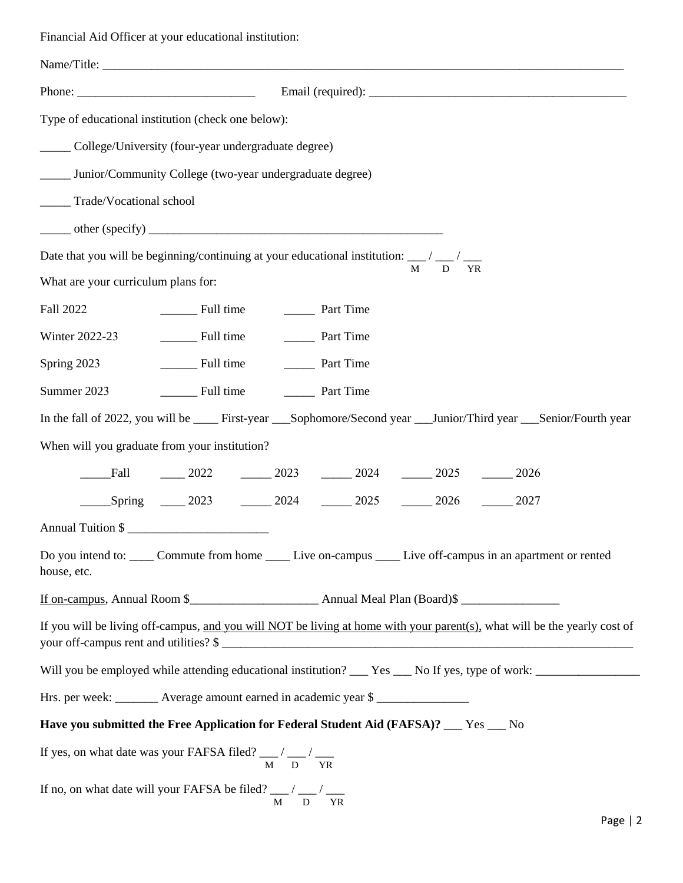Financial Aid Officer at your educational institution:

| Type of educational institution (check one below):                                                                   |                                                                                                                                                                     |  |  |  |
|----------------------------------------------------------------------------------------------------------------------|---------------------------------------------------------------------------------------------------------------------------------------------------------------------|--|--|--|
| _____ College/University (four-year undergraduate degree)                                                            |                                                                                                                                                                     |  |  |  |
|                                                                                                                      | _____ Junior/Community College (two-year undergraduate degree)                                                                                                      |  |  |  |
| ______ Trade/Vocational school                                                                                       |                                                                                                                                                                     |  |  |  |
|                                                                                                                      |                                                                                                                                                                     |  |  |  |
|                                                                                                                      | Date that you will be beginning/continuing at your educational institution: __/ __/ __<br>M<br><b>YR</b><br>D                                                       |  |  |  |
| What are your curriculum plans for:                                                                                  |                                                                                                                                                                     |  |  |  |
| Fall 2022                                                                                                            | Full time Tart Time                                                                                                                                                 |  |  |  |
| Winter 2022-23                                                                                                       |                                                                                                                                                                     |  |  |  |
| Spring $2023$                                                                                                        | Full time Part Time                                                                                                                                                 |  |  |  |
| Summer 2023                                                                                                          | Full time Tart Time                                                                                                                                                 |  |  |  |
| In the fall of 2022, you will be ____ First-year ___Sophomore/Second year ___Junior/Third year ___Senior/Fourth year |                                                                                                                                                                     |  |  |  |
| When will you graduate from your institution?                                                                        |                                                                                                                                                                     |  |  |  |
| Fall                                                                                                                 | $\frac{1}{2022}$ $\frac{2023}{2023}$ $\frac{2024}{2024}$ $\frac{2025}{2025}$ $\frac{2026}{2026}$                                                                    |  |  |  |
|                                                                                                                      | Spring 2023 2024 2025 2026 2027                                                                                                                                     |  |  |  |
| Annual Tuition \$                                                                                                    |                                                                                                                                                                     |  |  |  |
| house, etc.                                                                                                          | Do you intend to: _____ Commute from home _____ Live on-campus _____ Live off-campus in an apartment or rented                                                      |  |  |  |
|                                                                                                                      |                                                                                                                                                                     |  |  |  |
|                                                                                                                      | If you will be living off-campus, and you will NOT be living at home with your parent(s), what will be the yearly cost of<br>your off-campus rent and utilities? \$ |  |  |  |
|                                                                                                                      |                                                                                                                                                                     |  |  |  |
| Hrs. per week: ________ Average amount earned in academic year \$                                                    |                                                                                                                                                                     |  |  |  |
| Have you submitted the Free Application for Federal Student Aid (FAFSA)? __ Yes __ No                                |                                                                                                                                                                     |  |  |  |
| If yes, on what date was your FAFSA filed? $\frac{M}{M}$ / $\frac{M}{D}$ / $\frac{M}{YR}$                            |                                                                                                                                                                     |  |  |  |
| If no, on what date will your FAFSA be filed? $\frac{M}{M}$ / $\frac{M}{D}$ / $\frac{M}{YR}$                         |                                                                                                                                                                     |  |  |  |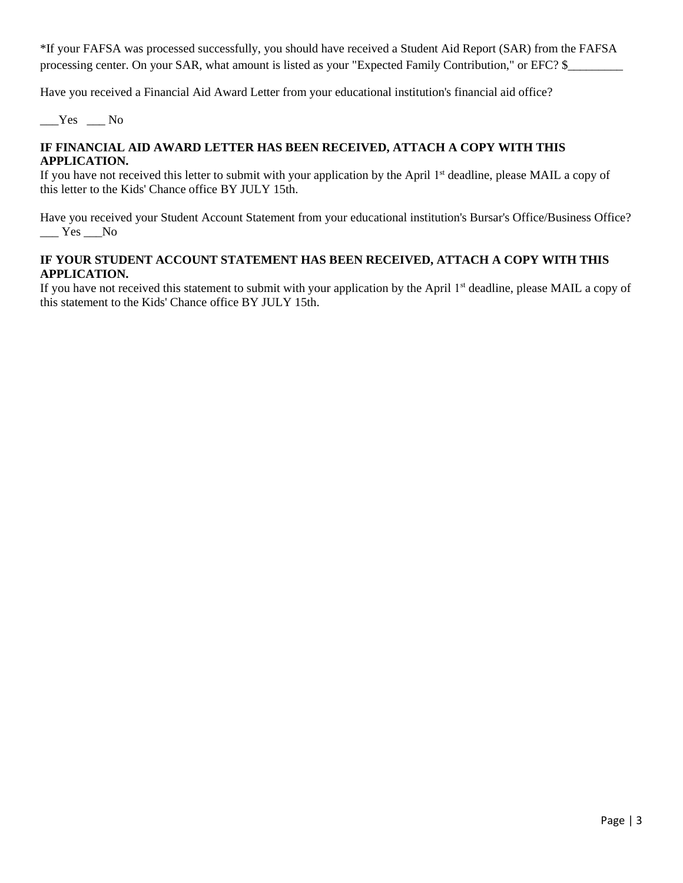\*If your FAFSA was processed successfully, you should have received a Student Aid Report (SAR) from the FAFSA processing center. On your SAR, what amount is listed as your "Expected Family Contribution," or EFC? \$\_\_\_\_\_\_\_\_\_

Have you received a Financial Aid Award Letter from your educational institution's financial aid office?

 $Yes$  \_No

#### **IF FINANCIAL AID AWARD LETTER HAS BEEN RECEIVED, ATTACH A COPY WITH THIS APPLICATION.**

If you have not received this letter to submit with your application by the April 1<sup>st</sup> deadline, please MAIL a copy of this letter to the Kids' Chance office BY JULY 15th.

Have you received your Student Account Statement from your educational institution's Bursar's Office/Business Office?  $\_\_\_\$  Yes  $\_\_\$ 

#### **IF YOUR STUDENT ACCOUNT STATEMENT HAS BEEN RECEIVED, ATTACH A COPY WITH THIS APPLICATION.**

If you have not received this statement to submit with your application by the April 1<sup>st</sup> deadline, please MAIL a copy of this statement to the Kids' Chance office BY JULY 15th.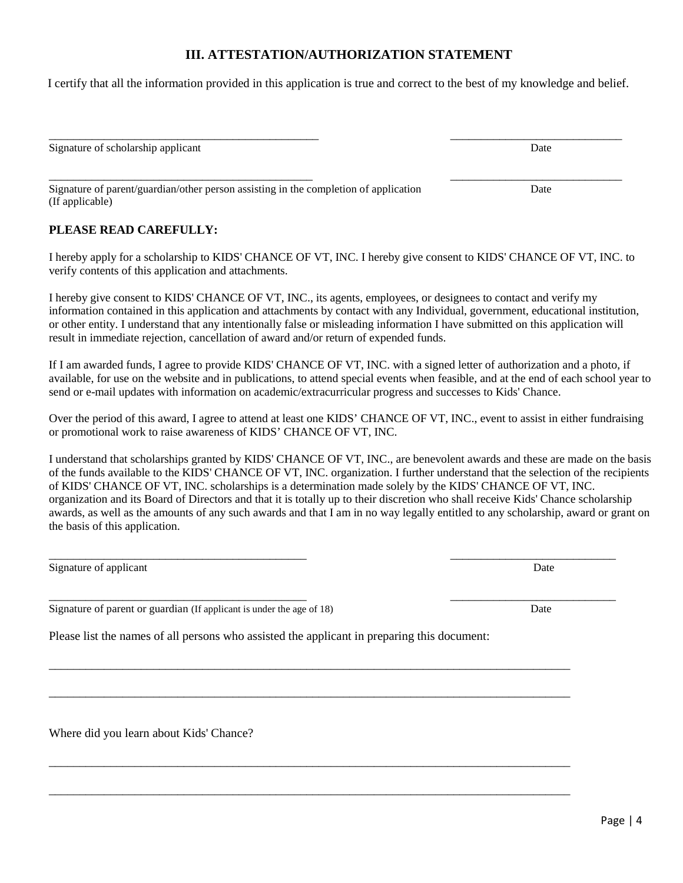## **III. ATTESTATION/AUTHORIZATION STATEMENT**

I certify that all the information provided in this application is true and correct to the best of my knowledge and belief.

\_\_\_\_\_\_\_\_\_\_\_\_\_\_\_\_\_\_\_\_\_\_\_\_\_\_\_\_\_\_\_\_\_\_\_\_\_\_\_\_\_\_\_\_ \_\_\_\_\_\_\_\_\_\_\_\_\_\_\_\_\_\_\_\_\_\_\_\_\_\_\_\_

Signature of scholarship applicant Date

\_\_\_\_\_\_\_\_\_\_\_\_\_\_\_\_\_\_\_\_\_\_\_\_\_\_\_\_\_\_\_\_\_\_\_\_\_\_\_\_\_\_\_ Signature of parent/guardian/other person assisting in the completion of application (If applicable)

#### **PLEASE READ CAREFULLY:**

I hereby apply for a scholarship to KIDS' CHANCE OF VT, INC. I hereby give consent to KIDS' CHANCE OF VT, INC. to verify contents of this application and attachments.

I hereby give consent to KIDS' CHANCE OF VT, INC., its agents, employees, or designees to contact and verify my information contained in this application and attachments by contact with any Individual, government, educational institution, or other entity. I understand that any intentionally false or misleading information I have submitted on this application will result in immediate rejection, cancellation of award and/or return of expended funds.

If I am awarded funds, I agree to provide KIDS' CHANCE OF VT, INC. with a signed letter of authorization and a photo, if available, for use on the website and in publications, to attend special events when feasible, and at the end of each school year to send or e-mail updates with information on academic/extracurricular progress and successes to Kids' Chance.

Over the period of this award, I agree to attend at least one KIDS' CHANCE OF VT, INC., event to assist in either fundraising or promotional work to raise awareness of KIDS' CHANCE OF VT, INC.

I understand that scholarships granted by KIDS' CHANCE OF VT, INC., are benevolent awards and these are made on the basis of the funds available to the KIDS' CHANCE OF VT, INC. organization. I further understand that the selection of the recipients of KIDS' CHANCE OF VT, INC. scholarships is a determination made solely by the KIDS' CHANCE OF VT, INC. organization and its Board of Directors and that it is totally up to their discretion who shall receive Kids' Chance scholarship awards, as well as the amounts of any such awards and that I am in no way legally entitled to any scholarship, award or grant on the basis of this application.

Signature of applicant Date Date of a set of a set of a set of a set of a set of a set of a set of a set of a set of a set of a set of a set of a set of a set of a set of a set of a set of a set of a set of a set of a set

\_\_\_\_\_\_\_\_\_\_\_\_\_\_\_\_\_\_\_\_\_\_\_\_\_\_\_\_\_\_\_\_\_\_\_\_\_\_\_\_\_\_ \_\_\_\_\_\_\_\_\_\_\_\_\_\_\_\_\_\_\_\_\_\_\_\_\_\_\_ Signature of parent or guardian (If applicant is under the age of 18) Date

Please list the names of all persons who assisted the applicant in preparing this document:

\_\_\_\_\_\_\_\_\_\_\_\_\_\_\_\_\_\_\_\_\_\_\_\_\_\_\_\_\_\_\_\_\_\_\_\_\_\_\_\_\_\_\_\_\_\_\_\_\_\_\_\_\_\_\_\_\_\_\_\_\_\_\_\_\_\_\_\_\_\_\_\_\_\_\_\_\_\_\_\_\_\_\_\_\_

\_\_\_\_\_\_\_\_\_\_\_\_\_\_\_\_\_\_\_\_\_\_\_\_\_\_\_\_\_\_\_\_\_\_\_\_\_\_\_\_\_\_\_\_\_\_\_\_\_\_\_\_\_\_\_\_\_\_\_\_\_\_\_\_\_\_\_\_\_\_\_\_\_\_\_\_\_\_\_\_\_\_\_\_\_

\_\_\_\_\_\_\_\_\_\_\_\_\_\_\_\_\_\_\_\_\_\_\_\_\_\_\_\_\_\_\_\_\_\_\_\_\_\_\_\_\_\_\_\_\_\_\_\_\_\_\_\_\_\_\_\_\_\_\_\_\_\_\_\_\_\_\_\_\_\_\_\_\_\_\_\_\_\_\_\_\_\_\_\_\_

\_\_\_\_\_\_\_\_\_\_\_\_\_\_\_\_\_\_\_\_\_\_\_\_\_\_\_\_\_\_\_\_\_\_\_\_\_\_\_\_\_\_\_\_\_\_\_\_\_\_\_\_\_\_\_\_\_\_\_\_\_\_\_\_\_\_\_\_\_\_\_\_\_\_\_\_\_\_\_\_\_\_\_\_\_

Where did you learn about Kids' Chance?

\_\_\_\_\_\_\_\_\_\_\_\_\_\_\_\_\_\_\_\_\_\_\_\_\_\_\_\_ Date

\_\_\_\_\_\_\_\_\_\_\_\_\_\_\_\_\_\_\_\_\_\_\_\_\_\_\_\_\_\_\_\_\_\_\_\_\_\_\_\_\_\_ \_\_\_\_\_\_\_\_\_\_\_\_\_\_\_\_\_\_\_\_\_\_\_\_\_\_\_